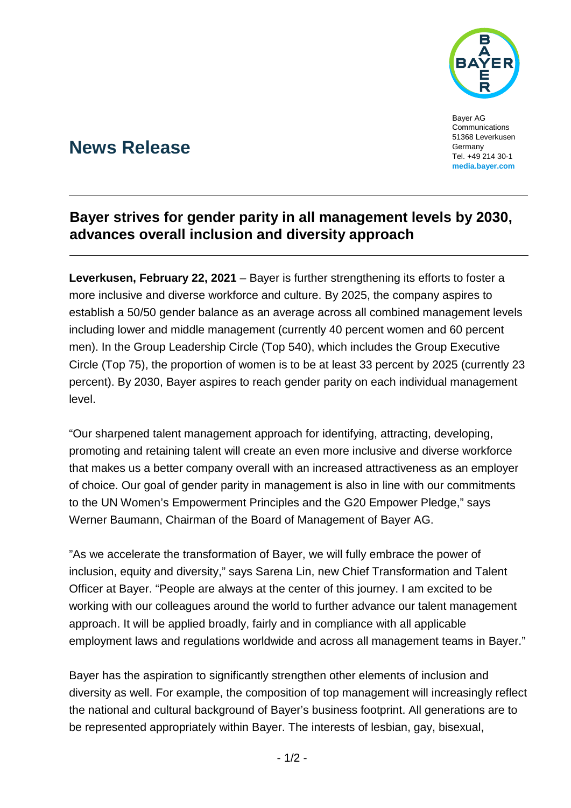

Bayer AG Communications 51368 Leverkusen Germany Tel. +49 214 30-1 **[media.bayer.com](http://media.bayer.de/)**

# **News Release**

### **Bayer strives for gender parity in all management levels by 2030, advances overall inclusion and diversity approach**

**Leverkusen, February 22, 2021** – Bayer is further strengthening its efforts to foster a more inclusive and diverse workforce and culture. By 2025, the company aspires to establish a 50/50 gender balance as an average across all combined management levels including lower and middle management (currently 40 percent women and 60 percent men). In the Group Leadership Circle (Top 540), which includes the Group Executive Circle (Top 75), the proportion of women is to be at least 33 percent by 2025 (currently 23 percent). By 2030, Bayer aspires to reach gender parity on each individual management level.

"Our sharpened talent management approach for identifying, attracting, developing, promoting and retaining talent will create an even more inclusive and diverse workforce that makes us a better company overall with an increased attractiveness as an employer of choice. Our goal of gender parity in management is also in line with our commitments to the UN Women's Empowerment Principles and the G20 Empower Pledge," says Werner Baumann, Chairman of the Board of Management of Bayer AG.

"As we accelerate the transformation of Bayer, we will fully embrace the power of inclusion, equity and diversity," says Sarena Lin, new Chief Transformation and Talent Officer at Bayer. "People are always at the center of this journey. I am excited to be working with our colleagues around the world to further advance our talent management approach. It will be applied broadly, fairly and in compliance with all applicable employment laws and regulations worldwide and across all management teams in Bayer."

Bayer has the aspiration to significantly strengthen other elements of inclusion and diversity as well. For example, the composition of top management will increasingly reflect the national and cultural background of Bayer's business footprint. All generations are to be represented appropriately within Bayer. The interests of lesbian, gay, bisexual,